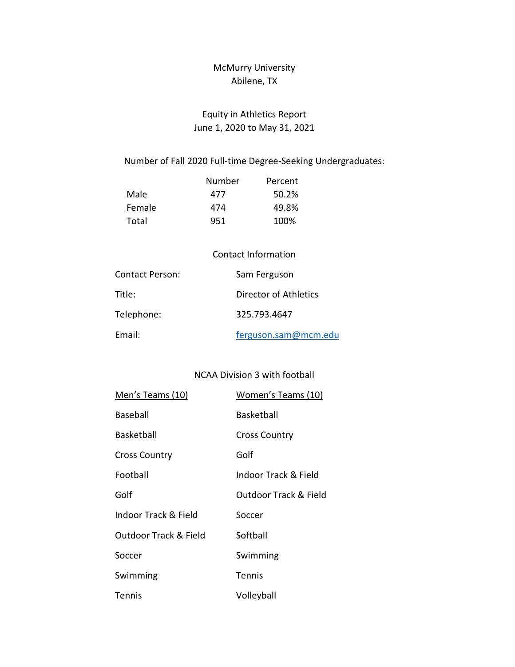# McMurry University Abilene, TX

# Equity in Athletics Report June 1, 2020 to May 31, 2021

## Number of Fall 2020 Full-time Degree-Seeking Undergraduates:

|        | Number | Percent |
|--------|--------|---------|
| Male   | 477    | 50.2%   |
| Female | 474    | 49.8%   |
| Total  | 951    | 100%    |

#### Contact Information

| <b>Contact Person:</b> | Sam Ferguson          |
|------------------------|-----------------------|
| Title:                 | Director of Athletics |
| Telephone:             | 325.793.4647          |
| Email:                 | ferguson.sam@mcm.edu  |

#### NCAA Division 3 with football

| Men's Teams (10)      | Women's Teams (10)    |
|-----------------------|-----------------------|
| Baseball              | Basketball            |
| Basketball            | <b>Cross Country</b>  |
| <b>Cross Country</b>  | Golf                  |
| Football              | Indoor Track & Field  |
| Golf                  | Outdoor Track & Field |
| Indoor Track & Field  | Soccer                |
| Outdoor Track & Field | Softball              |
| Soccer                | Swimming              |
| Swimming              | Tennis                |
| <b>Tennis</b>         | Volleyball            |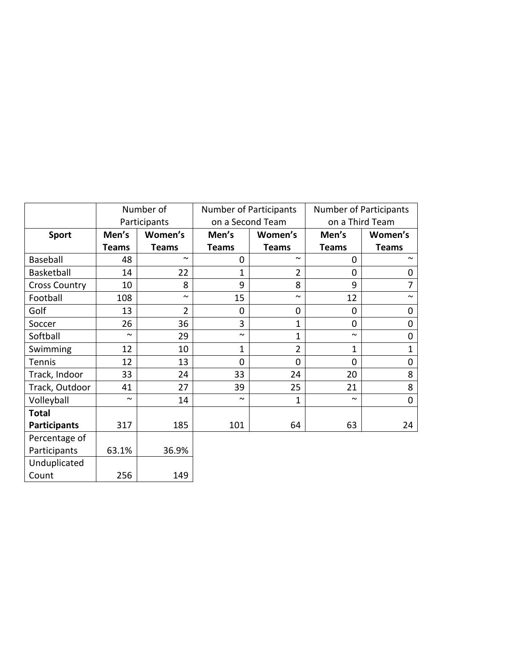|                      | Number of    |                |                | <b>Number of Participants</b> | <b>Number of Participants</b> |                       |  |
|----------------------|--------------|----------------|----------------|-------------------------------|-------------------------------|-----------------------|--|
|                      |              | Participants   |                | on a Second Team              |                               | on a Third Team       |  |
| <b>Sport</b>         | Men's        | Women's        | Men's          | Women's                       | Men's                         | Women's               |  |
|                      | <b>Teams</b> | <b>Teams</b>   | <b>Teams</b>   | <b>Teams</b>                  | <b>Teams</b>                  | <b>Teams</b>          |  |
| <b>Baseball</b>      | 48           | $\sim$         | 0              | $\tilde{\phantom{a}}$         | 0                             | $\sim$                |  |
| <b>Basketball</b>    | 14           | 22             | 1              | $\overline{2}$                | 0                             | 0                     |  |
| <b>Cross Country</b> | 10           | 8              | 9              | 8                             | 9                             | 7                     |  |
| Football             | 108          | $\sim$         | 15             | $\sim$                        | 12                            | $\tilde{\phantom{a}}$ |  |
| Golf                 | 13           | $\overline{2}$ | 0              | 0                             | 0                             | 0                     |  |
| Soccer               | 26           | 36             | 3              | $\overline{1}$                | 0                             | $\Omega$              |  |
| Softball             | $\sim$       | 29             | $\sim$         | $\mathbf{1}$                  | $\tilde{\phantom{a}}$         | 0                     |  |
| Swimming             | 12           | 10             | 1              | $\overline{2}$                | $\overline{1}$                | $\mathbf{1}$          |  |
| Tennis               | 12           | 13             | $\overline{0}$ | 0                             | 0                             | 0                     |  |
| Track, Indoor        | 33           | 24             | 33             | 24                            | 20                            | 8                     |  |
| Track, Outdoor       | 41           | 27             | 39             | 25                            | 21                            | 8                     |  |
| Volleyball           | $\sim$       | 14             | $\sim$         | $\mathbf{1}$                  | $\tilde{\phantom{a}}$         | $\mathbf 0$           |  |
| <b>Total</b>         |              |                |                |                               |                               |                       |  |
| <b>Participants</b>  | 317          | 185            | 101            | 64                            | 63                            | 24                    |  |
| Percentage of        |              |                |                |                               |                               |                       |  |
| Participants         | 63.1%        | 36.9%          |                |                               |                               |                       |  |
| Unduplicated         |              |                |                |                               |                               |                       |  |

Count 256 149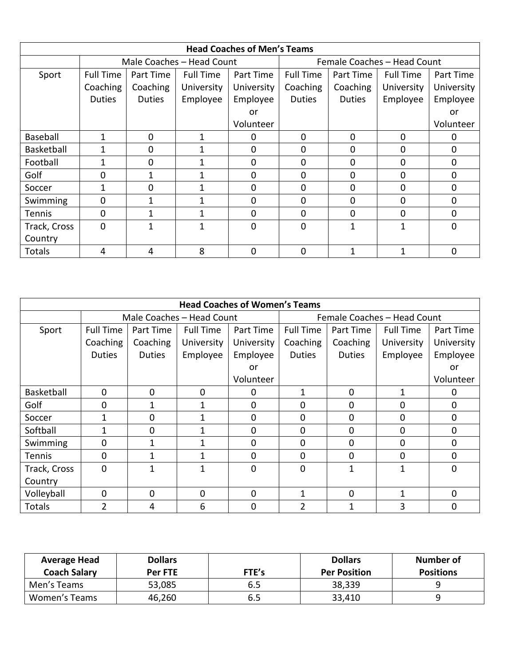| <b>Head Coaches of Men's Teams</b> |                  |               |                           |                |                             |               |                  |             |
|------------------------------------|------------------|---------------|---------------------------|----------------|-----------------------------|---------------|------------------|-------------|
|                                    |                  |               | Male Coaches - Head Count |                | Female Coaches - Head Count |               |                  |             |
| Sport                              | <b>Full Time</b> | Part Time     | <b>Full Time</b>          | Part Time      | <b>Full Time</b>            | Part Time     | <b>Full Time</b> | Part Time   |
|                                    | Coaching         | Coaching      | University                | University     | Coaching                    | Coaching      | University       | University  |
|                                    | <b>Duties</b>    | <b>Duties</b> | Employee                  | Employee       | <b>Duties</b>               | <b>Duties</b> | Employee         | Employee    |
|                                    |                  |               |                           | or             |                             |               |                  | or          |
|                                    |                  |               |                           | Volunteer      |                             |               |                  | Volunteer   |
| Baseball                           | 1                | $\mathbf 0$   |                           | 0              | 0                           | $\mathbf 0$   | $\mathbf 0$      | 0           |
| <b>Basketball</b>                  | 1                | 0             |                           | 0              | 0                           | 0             | $\mathbf 0$      | 0           |
| Football                           |                  | $\Omega$      |                           | $\overline{0}$ | 0                           | $\mathbf 0$   | $\mathbf 0$      | $\mathbf 0$ |
| Golf                               | 0                | 1             |                           | $\Omega$       | 0                           | 0             | $\mathbf 0$      | $\mathbf 0$ |
| Soccer                             | 1                | $\Omega$      | 1                         | $\overline{0}$ | 0                           | $\Omega$      | 0                | $\mathbf 0$ |
| Swimming                           | 0                |               |                           | $\overline{0}$ | 0                           | $\mathbf 0$   | $\mathbf 0$      | $\mathbf 0$ |
| <b>Tennis</b>                      | 0                |               |                           | $\overline{0}$ | 0                           | 0             | $\mathbf 0$      | 0           |
| Track, Cross                       | 0                | 1             | 1                         | $\Omega$       | 0                           | $\mathbf{1}$  | 1                | $\Omega$    |
| Country                            |                  |               |                           |                |                             |               |                  |             |
| Totals                             | 4                | 4             | 8                         | 0              | 0                           |               |                  | 0           |

| <b>Head Coaches of Women's Teams</b> |                  |               |                           |             |                             |               |                  |                |
|--------------------------------------|------------------|---------------|---------------------------|-------------|-----------------------------|---------------|------------------|----------------|
|                                      |                  |               | Male Coaches - Head Count |             | Female Coaches - Head Count |               |                  |                |
| Sport                                | <b>Full Time</b> | Part Time     | <b>Full Time</b>          | Part Time   | <b>Full Time</b>            | Part Time     | <b>Full Time</b> | Part Time      |
|                                      | Coaching         | Coaching      | University                | University  | Coaching                    | Coaching      | University       | University     |
|                                      | <b>Duties</b>    | <b>Duties</b> | Employee                  | Employee    | <b>Duties</b>               | <b>Duties</b> | Employee         | Employee       |
|                                      |                  |               |                           | or          |                             |               |                  | <b>or</b>      |
|                                      |                  |               |                           | Volunteer   |                             |               |                  | Volunteer      |
| Basketball                           | $\Omega$         | $\Omega$      | $\mathbf 0$               | 0           | 1                           | $\mathbf 0$   | 1                | 0              |
| Golf                                 | $\Omega$         |               |                           | 0           | 0                           | $\mathbf 0$   | 0                | 0              |
| Soccer                               |                  | 0             |                           | $\mathbf 0$ | 0                           | $\mathbf 0$   | 0                | $\overline{0}$ |
| Softball                             | 1                | 0             |                           | 0           | 0                           | $\Omega$      | 0                | $\mathbf 0$    |
| Swimming                             | 0                | 1             |                           | 0           | 0                           | 0             | 0                | 0              |
| <b>Tennis</b>                        | $\Omega$         | 1             |                           | 0           | 0                           | $\Omega$      | 0                | $\mathbf 0$    |
| Track, Cross                         | $\Omega$         | 1             |                           | $\Omega$    | 0                           |               |                  | $\Omega$       |
| Country                              |                  |               |                           |             |                             |               |                  |                |
| Volleyball                           | $\mathbf 0$      | $\Omega$      | 0                         | $\Omega$    | 1                           | $\Omega$      | 1                | $\mathbf{0}$   |
| Totals                               | $\overline{2}$   | 4             | 6                         | 0           | າ                           |               | 3                | 0              |

| <b>Average Head</b><br><b>Coach Salary</b> | <b>Dollars</b><br>Per FTE | FTE's | <b>Dollars</b><br><b>Per Position</b> | Number of<br><b>Positions</b> |
|--------------------------------------------|---------------------------|-------|---------------------------------------|-------------------------------|
| Men's Teams                                | 53,085                    | 6.5   | 38,339                                |                               |
| Women's Teams                              | 46,260                    |       | 33,410                                |                               |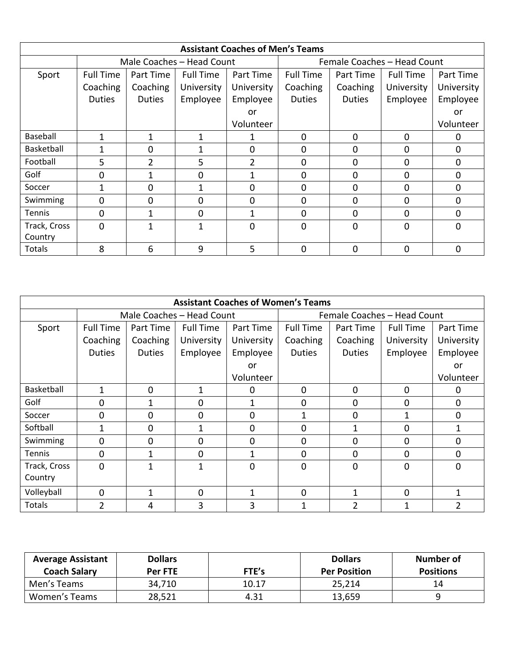| <b>Assistant Coaches of Men's Teams</b> |                  |               |                           |                |                             |               |                  |             |
|-----------------------------------------|------------------|---------------|---------------------------|----------------|-----------------------------|---------------|------------------|-------------|
|                                         |                  |               | Male Coaches - Head Count |                | Female Coaches - Head Count |               |                  |             |
| Sport                                   | <b>Full Time</b> | Part Time     | <b>Full Time</b>          | Part Time      | <b>Full Time</b>            | Part Time     | <b>Full Time</b> | Part Time   |
|                                         | Coaching         | Coaching      | University                | University     | Coaching                    | Coaching      | University       | University  |
|                                         | <b>Duties</b>    | <b>Duties</b> | Employee                  | Employee       | <b>Duties</b>               | <b>Duties</b> | Employee         | Employee    |
|                                         |                  |               |                           | <b>or</b>      |                             |               |                  | <b>or</b>   |
|                                         |                  |               |                           | Volunteer      |                             |               |                  | Volunteer   |
| Baseball                                |                  |               |                           |                | $\mathbf 0$                 | $\mathbf 0$   | $\mathbf 0$      | 0           |
| Basketball                              |                  | 0             |                           | 0              | $\mathbf 0$                 | $\mathbf 0$   | 0                | $\mathbf 0$ |
| Football                                | 5                | 2             | 5                         | $\overline{2}$ | 0                           | $\mathbf 0$   | 0                | $\mathbf 0$ |
| Golf                                    | 0                |               | 0                         |                | $\Omega$                    | $\mathbf 0$   | 0                | 0           |
| Soccer                                  |                  | 0             |                           | 0              | $\Omega$                    | 0             | $\overline{0}$   | 0           |
| Swimming                                | 0                | 0             | 0                         | $\Omega$       | $\mathbf 0$                 | $\mathbf 0$   | 0                | 0           |
| <b>Tennis</b>                           | 0                | 1             | $\Omega$                  |                | $\Omega$                    | $\mathbf 0$   | $\mathbf 0$      | $\Omega$    |
| Track, Cross<br>Country                 | $\mathbf 0$      | ◢             | 1                         | $\Omega$       | $\mathbf{0}$                | 0             | $\overline{0}$   | $\Omega$    |
| Totals                                  | 8                | 6             | 9                         | 5              | $\mathbf 0$                 | $\mathbf 0$   | 0                | $\Omega$    |

| <b>Assistant Coaches of Women's Teams</b> |                  |               |                           |            |                             |               |             |                |
|-------------------------------------------|------------------|---------------|---------------------------|------------|-----------------------------|---------------|-------------|----------------|
|                                           |                  |               | Male Coaches - Head Count |            | Female Coaches - Head Count |               |             |                |
| Sport                                     | <b>Full Time</b> | Part Time     | <b>Full Time</b>          | Part Time  | <b>Full Time</b>            | Part Time     | Full Time   | Part Time      |
|                                           | Coaching         | Coaching      | University                | University | Coaching                    | Coaching      | University  | University     |
|                                           | <b>Duties</b>    | <b>Duties</b> | Employee                  | Employee   | <b>Duties</b>               | <b>Duties</b> | Employee    | Employee       |
|                                           |                  |               |                           | <b>or</b>  |                             |               |             | <b>or</b>      |
|                                           |                  |               |                           | Volunteer  |                             |               |             | Volunteer      |
| Basketball                                | $\mathbf{1}$     | $\mathbf 0$   | 1                         | 0          | 0                           | $\mathbf 0$   | $\mathbf 0$ | 0              |
| Golf                                      | 0                | 1             | 0                         | 1          | 0                           | $\mathbf 0$   | 0           | $\mathbf 0$    |
| Soccer                                    | 0                | 0             | 0                         | 0          |                             | $\mathbf 0$   |             | $\mathbf 0$    |
| Softball                                  |                  | 0             |                           | $\Omega$   | 0                           | 1             | $\mathbf 0$ | 1              |
| Swimming                                  | $\mathbf 0$      | $\Omega$      | 0                         | $\Omega$   | $\mathbf 0$                 | $\mathbf 0$   | 0           | $\mathbf 0$    |
| Tennis                                    | $\mathbf 0$      | 1             | 0                         | 1          | 0                           | $\mathbf 0$   | 0           | 0              |
| Track, Cross                              | 0                | 1             |                           | 0          | $\mathbf 0$                 | $\mathbf 0$   | 0           | 0              |
| Country                                   |                  |               |                           |            |                             |               |             |                |
| Volleyball                                | $\Omega$         | 1             | 0                         | 1          | 0                           | 1             | 0           | 1              |
| <b>Totals</b>                             | $\overline{2}$   | 4             | 3                         | 3          |                             | 2             |             | $\overline{2}$ |

| <b>Average Assistant</b><br><b>Coach Salary</b> | <b>Dollars</b><br>Per FTE | FTE's | <b>Dollars</b><br><b>Per Position</b> | <b>Number of</b><br><b>Positions</b> |
|-------------------------------------------------|---------------------------|-------|---------------------------------------|--------------------------------------|
| Men's Teams                                     | 34,710                    | 10.17 | 25,214                                | 14                                   |
| Women's Teams                                   | 28,521                    | 4.31  | 13,659                                |                                      |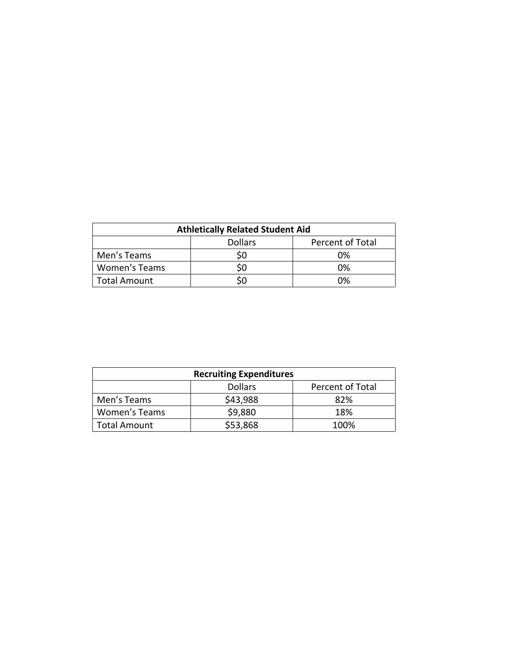| <b>Athletically Related Student Aid</b> |  |    |  |  |  |
|-----------------------------------------|--|----|--|--|--|
| Percent of Total<br><b>Dollars</b>      |  |    |  |  |  |
| Men's Teams                             |  | 0% |  |  |  |
| <b>Women's Teams</b>                    |  | 0% |  |  |  |
| <b>Total Amount</b>                     |  | በ% |  |  |  |

| <b>Recruiting Expenditures</b>     |          |      |  |  |  |
|------------------------------------|----------|------|--|--|--|
| Percent of Total<br><b>Dollars</b> |          |      |  |  |  |
| Men's Teams                        | \$43,988 | 82%  |  |  |  |
| <b>Women's Teams</b>               | \$9,880  | 18%  |  |  |  |
| <b>Total Amount</b>                | \$53,868 | 100% |  |  |  |